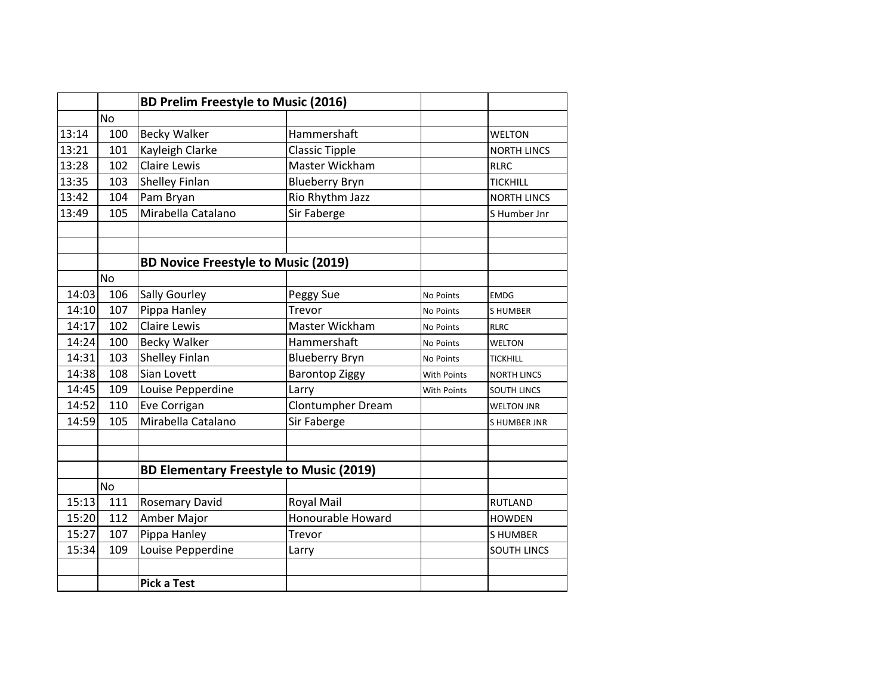|       |           | <b>BD Prelim Freestyle to Music (2016)</b>     |                          |                    |                    |
|-------|-----------|------------------------------------------------|--------------------------|--------------------|--------------------|
|       | <b>No</b> |                                                |                          |                    |                    |
| 13:14 | 100       | <b>Becky Walker</b>                            | Hammershaft              |                    | <b>WELTON</b>      |
| 13:21 | 101       | Kayleigh Clarke                                | <b>Classic Tipple</b>    |                    | <b>NORTH LINCS</b> |
| 13:28 | 102       | <b>Claire Lewis</b>                            | Master Wickham           |                    | <b>RLRC</b>        |
| 13:35 | 103       | <b>Shelley Finlan</b>                          | <b>Blueberry Bryn</b>    |                    | <b>TICKHILL</b>    |
| 13:42 | 104       | Pam Bryan                                      | Rio Rhythm Jazz          |                    | <b>NORTH LINCS</b> |
| 13:49 | 105       | Mirabella Catalano                             | Sir Faberge              |                    | S Humber Jnr       |
|       |           |                                                |                          |                    |                    |
|       |           | <b>BD Novice Freestyle to Music (2019)</b>     |                          |                    |                    |
|       | No        |                                                |                          |                    |                    |
| 14:03 | 106       | <b>Sally Gourley</b>                           | Peggy Sue                | <b>No Points</b>   | <b>EMDG</b>        |
| 14:10 | 107       | Pippa Hanley                                   | Trevor                   | No Points          | <b>SHUMBER</b>     |
| 14:17 | 102       | <b>Claire Lewis</b>                            | Master Wickham           | No Points          | <b>RLRC</b>        |
| 14:24 | 100       | <b>Becky Walker</b>                            | Hammershaft              | <b>No Points</b>   | <b>WELTON</b>      |
| 14:31 | 103       | Shelley Finlan                                 | <b>Blueberry Bryn</b>    | No Points          | <b>TICKHILL</b>    |
| 14:38 | 108       | Sian Lovett                                    | <b>Barontop Ziggy</b>    | With Points        | <b>NORTH LINCS</b> |
| 14:45 | 109       | Louise Pepperdine                              | Larry                    | <b>With Points</b> | <b>SOUTH LINCS</b> |
| 14:52 | 110       | Eve Corrigan                                   | Clontumpher Dream        |                    | <b>WELTON JNR</b>  |
| 14:59 | 105       | Mirabella Catalano                             | Sir Faberge              |                    | <b>SHUMBER JNR</b> |
|       |           |                                                |                          |                    |                    |
|       |           | <b>BD Elementary Freestyle to Music (2019)</b> |                          |                    |                    |
| No    |           |                                                |                          |                    |                    |
| 15:13 | 111       | <b>Rosemary David</b>                          | <b>Royal Mail</b>        |                    | <b>RUTLAND</b>     |
| 15:20 | 112       | Amber Major                                    | <b>Honourable Howard</b> |                    | <b>HOWDEN</b>      |
| 15:27 | 107       | Pippa Hanley                                   | Trevor                   |                    | <b>SHUMBER</b>     |
| 15:34 | 109       | Louise Pepperdine                              | Larry                    |                    | <b>SOUTH LINCS</b> |
|       |           | <b>Pick a Test</b>                             |                          |                    |                    |